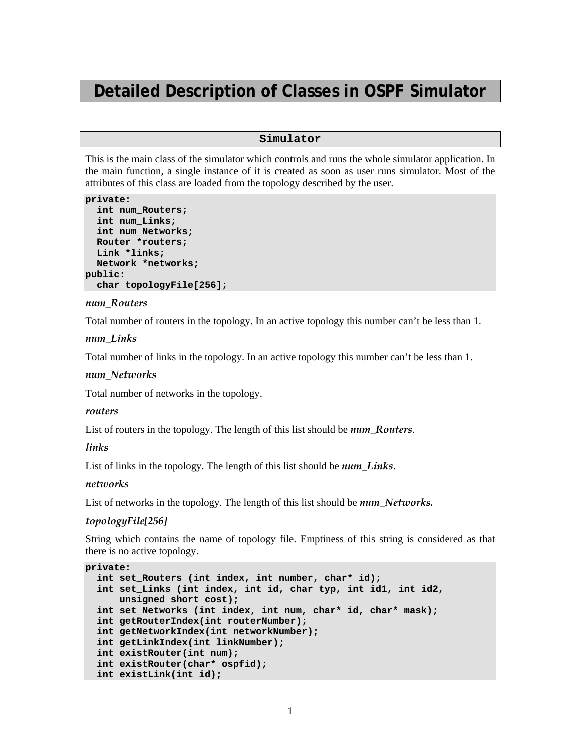# **Detailed Description of Classes in OSPF Simulator**

### **Simulator**

This is the main class of the simulator which controls and runs the whole simulator application. In the main function, a single instance of it is created as soon as user runs simulator. Most of the attributes of this class are loaded from the topology described by the user.

```
private: 
   int num_Routers; 
   int num_Links; 
   int num_Networks; 
   Router *routers; 
   Link *links; 
  Network *networks; 
public: 
   char topologyFile[256];
```
### *num\_Routers*

Total number of routers in the topology. In an active topology this number can't be less than 1.

#### *num\_Links*

Total number of links in the topology. In an active topology this number can't be less than 1.

### *num\_Networks*

Total number of networks in the topology.

#### *routers*

List of routers in the topology. The length of this list should be *num\_Routers*.

#### *links*

List of links in the topology. The length of this list should be *num\_Links*.

### *networks*

List of networks in the topology. The length of this list should be *num\_Networks*.

#### *topologyFile[256]*

String which contains the name of topology file. Emptiness of this string is considered as that there is no active topology.

```
private: 
  int set Routers (int index, int number, char* id);
   int set_Links (int index, int id, char typ, int id1, int id2, 
      unsigned short cost); 
   int set_Networks (int index, int num, char* id, char* mask); 
   int getRouterIndex(int routerNumber); 
   int getNetworkIndex(int networkNumber); 
   int getLinkIndex(int linkNumber); 
   int existRouter(int num); 
   int existRouter(char* ospfid); 
   int existLink(int id);
```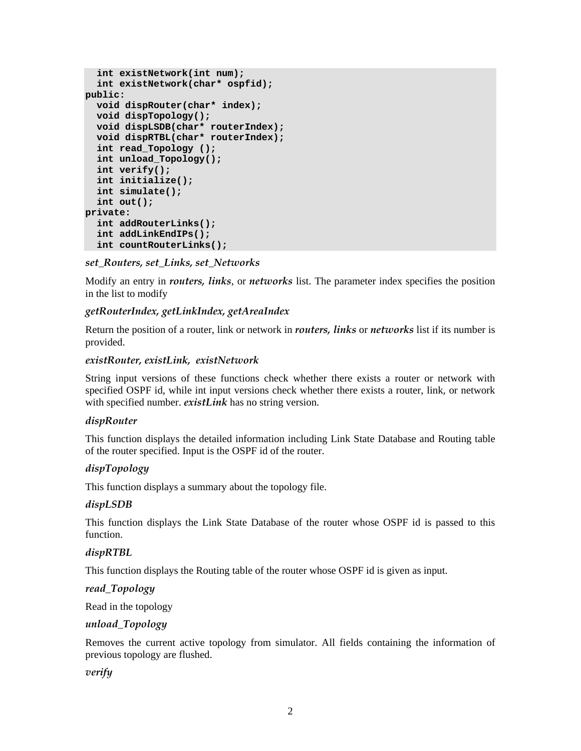```
 int existNetwork(int num); 
   int existNetwork(char* ospfid); 
public: 
   void dispRouter(char* index); 
   void dispTopology(); 
  void dispLSDB(char* routerIndex); 
   void dispRTBL(char* routerIndex); 
   int read_Topology (); 
   int unload_Topology(); 
   int verify(); 
   int initialize(); 
   int simulate(); 
   int out(); 
private: 
   int addRouterLinks(); 
   int addLinkEndIPs(); 
   int countRouterLinks();
```
*set\_Routers, set\_Links, set\_Networks* 

Modify an entry in *routers, links*, or *networks* list. The parameter index specifies the position in the list to modify

# *getRouterIndex, getLinkIndex, getAreaIndex*

Return the position of a router, link or network in *routers, links* or *networks* list if its number is provided.

### *existRouter, existLink, existNetwork*

String input versions of these functions check whether there exists a router or network with specified OSPF id, while int input versions check whether there exists a router, link, or network with specified number. *existLink* has no string version.

### *dispRouter*

This function displays the detailed information including Link State Database and Routing table of the router specified. Input is the OSPF id of the router.

# *dispTopology*

This function displays a summary about the topology file.

### *dispLSDB*

This function displays the Link State Database of the router whose OSPF id is passed to this function.

### *dispRTBL*

This function displays the Routing table of the router whose OSPF id is given as input.

*read\_Topology* 

Read in the topology

### *unload\_Topology*

Removes the current active topology from simulator. All fields containing the information of previous topology are flushed.

### *verify*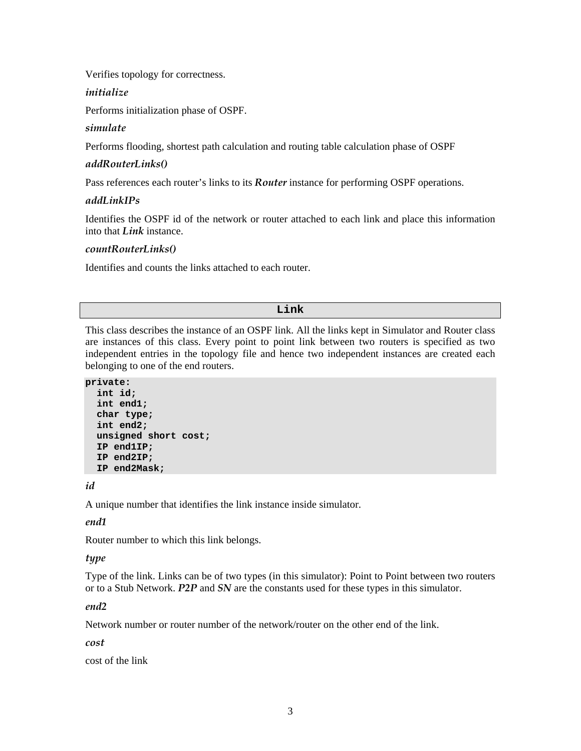Verifies topology for correctness.

### *initialize*

Performs initialization phase of OSPF.

# *simulate*

Performs flooding, shortest path calculation and routing table calculation phase of OSPF

# *addRouterLinks()*

Pass references each router's links to its *Router* instance for performing OSPF operations.

# *addLinkIPs*

Identifies the OSPF id of the network or router attached to each link and place this information into that *Link* instance.

### *countRouterLinks()*

Identifies and counts the links attached to each router.

### **Link**

This class describes the instance of an OSPF link. All the links kept in Simulator and Router class are instances of this class. Every point to point link between two routers is specified as two independent entries in the topology file and hence two independent instances are created each belonging to one of the end routers.

**private:** 

```
 int id; 
 int end1; 
 char type; 
 int end2; 
 unsigned short cost; 
 IP end1IP; 
 IP end2IP; 
 IP end2Mask;
```
*id* 

A unique number that identifies the link instance inside simulator.

# *end1*

Router number to which this link belongs.

### *type*

Type of the link. Links can be of two types (in this simulator): Point to Point between two routers or to a Stub Network. *P2P* and *SN* are the constants used for these types in this simulator.

### *end2*

Network number or router number of the network/router on the other end of the link.

### *cost*

cost of the link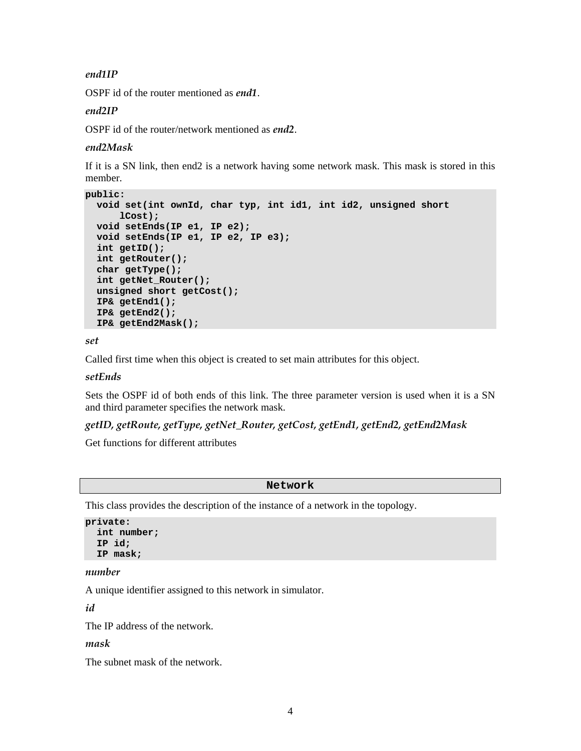# *end1IP*

OSPF id of the router mentioned as *end1*.

### *end2IP*

OSPF id of the router/network mentioned as *end2*.

### *end2Mask*

If it is a SN link, then end2 is a network having some network mask. This mask is stored in this member.

```
public: 
   void set(int ownId, char typ, int id1, int id2, unsigned short 
      lCost); 
  void setEnds(IP e1, IP e2); 
  void setEnds(IP e1, IP e2, IP e3); 
   int getID(); 
   int getRouter(); 
   char getType(); 
   int getNet_Router(); 
   unsigned short getCost(); 
   IP& getEnd1(); 
   IP& getEnd2(); 
  IP& getEnd2Mask();
```
*set* 

Called first time when this object is created to set main attributes for this object.

### *setEnds*

Sets the OSPF id of both ends of this link. The three parameter version is used when it is a SN and third parameter specifies the network mask.

### *getID, getRoute, getType, getNet\_Router, getCost, getEnd1, getEnd2, getEnd2Mask*

Get functions for different attributes

#### **Network**

This class provides the description of the instance of a network in the topology.

```
private: 
   int number; 
   IP id; 
   IP mask;
```
#### *number*

A unique identifier assigned to this network in simulator.

*id* 

The IP address of the network.

#### *mask*

The subnet mask of the network.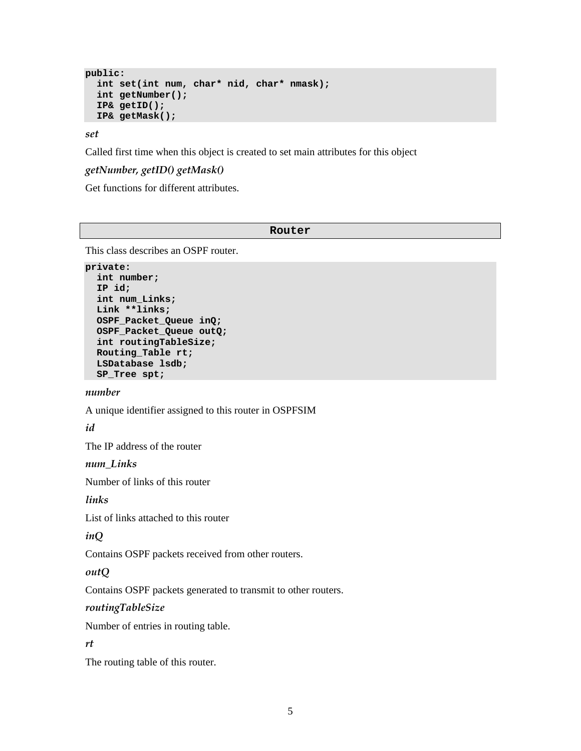```
public: 
   int set(int num, char* nid, char* nmask); 
   int getNumber(); 
   IP& getID(); 
  IP& getMask();
```
*set* 

Called first time when this object is created to set main attributes for this object

# *getNumber, getID() getMask()*

Get functions for different attributes.

#### **Router**

This class describes an OSPF router.

```
private: 
   int number; 
   IP id; 
   int num_Links; 
   Link **links; 
   OSPF_Packet_Queue inQ; 
   OSPF_Packet_Queue outQ; 
   int routingTableSize; 
   Routing_Table rt; 
   LSDatabase lsdb; 
   SP_Tree spt;
```
#### *number*

A unique identifier assigned to this router in OSPFSIM

# *id*

The IP address of the router

#### *num\_Links*

Number of links of this router

### *links*

List of links attached to this router

#### *inQ*

Contains OSPF packets received from other routers.

#### *outQ*

Contains OSPF packets generated to transmit to other routers.

#### *routingTableSize*

Number of entries in routing table.

#### *rt*

The routing table of this router.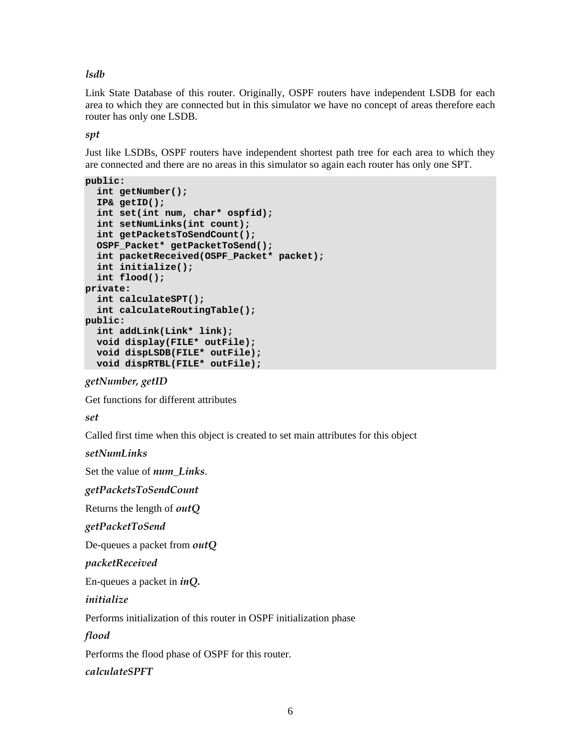*lsdb* 

Link State Database of this router. Originally, OSPF routers have independent LSDB for each area to which they are connected but in this simulator we have no concept of areas therefore each router has only one LSDB.

*spt* 

Just like LSDBs, OSPF routers have independent shortest path tree for each area to which they are connected and there are no areas in this simulator so again each router has only one SPT.

```
public: 
   int getNumber(); 
   IP& getID(); 
   int set(int num, char* ospfid); 
   int setNumLinks(int count); 
   int getPacketsToSendCount(); 
   OSPF_Packet* getPacketToSend(); 
   int packetReceived(OSPF_Packet* packet); 
   int initialize(); 
   int flood(); 
private: 
   int calculateSPT(); 
   int calculateRoutingTable(); 
public: 
   int addLink(Link* link); 
  void display(FILE* outFile); 
  void dispLSDB(FILE* outFile); 
  void dispRTBL(FILE* outFile);
```
# *getNumber, getID*

Get functions for different attributes

*set* 

Called first time when this object is created to set main attributes for this object

*setNumLinks* 

Set the value of *num\_Links*.

*getPacketsToSendCount* 

Returns the length of *outQ*

*getPacketToSend* 

De-queues a packet from *outQ*

*packetReceived* 

En-queues a packet in *inQ.*

*initialize* 

Performs initialization of this router in OSPF initialization phase

*flood* 

Performs the flood phase of OSPF for this router.

*calculateSPFT*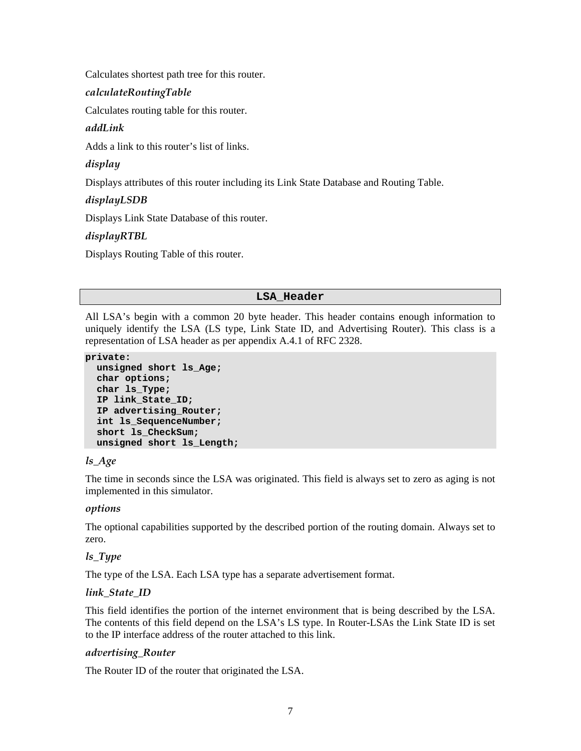Calculates shortest path tree for this router.

# *calculateRoutingTable*

Calculates routing table for this router.

# *addLink*

Adds a link to this router's list of links.

# *display*

Displays attributes of this router including its Link State Database and Routing Table.

# *displayLSDB*

Displays Link State Database of this router.

# *displayRTBL*

Displays Routing Table of this router.

# **LSA\_Header**

All LSA's begin with a common 20 byte header. This header contains enough information to uniquely identify the LSA (LS type, Link State ID, and Advertising Router). This class is a representation of LSA header as per appendix A.4.1 of RFC 2328.

### **private:**

```
 unsigned short ls_Age; 
 char options; 
 char ls_Type; 
 IP link_State_ID; 
 IP advertising_Router; 
 int ls_SequenceNumber; 
 short ls_CheckSum; 
 unsigned short ls_Length;
```
### *ls\_Age*

The time in seconds since the LSA was originated. This field is always set to zero as aging is not implemented in this simulator.

### *options*

The optional capabilities supported by the described portion of the routing domain. Always set to zero.

# *ls\_Type*

The type of the LSA. Each LSA type has a separate advertisement format.

### *link\_State\_ID*

This field identifies the portion of the internet environment that is being described by the LSA. The contents of this field depend on the LSA's LS type. In Router-LSAs the Link State ID is set to the IP interface address of the router attached to this link.

### *advertising\_Router*

The Router ID of the router that originated the LSA.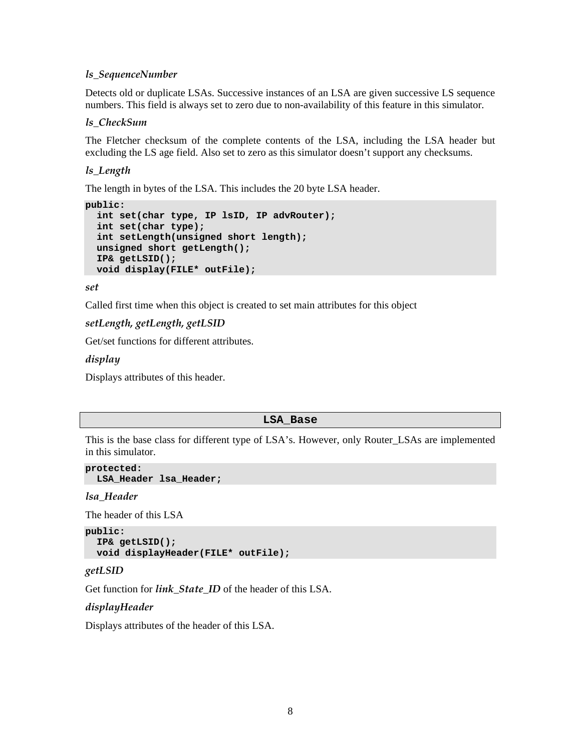### *ls\_SequenceNumber*

Detects old or duplicate LSAs. Successive instances of an LSA are given successive LS sequence numbers. This field is always set to zero due to non-availability of this feature in this simulator.

### *ls\_CheckSum*

The Fletcher checksum of the complete contents of the LSA, including the LSA header but excluding the LS age field. Also set to zero as this simulator doesn't support any checksums.

### *ls\_Length*

The length in bytes of the LSA. This includes the 20 byte LSA header.

```
public: 
   int set(char type, IP lsID, IP advRouter); 
  int set(char type); 
  int setLength(unsigned short length); 
  unsigned short getLength(); 
  IP& getLSID(); 
  void display(FILE* outFile);
```
#### *set*

Called first time when this object is created to set main attributes for this object

### *setLength, getLength, getLSID*

Get/set functions for different attributes.

#### *display*

Displays attributes of this header.

#### **LSA\_Base**

This is the base class for different type of LSA's. However, only Router LSAs are implemented in this simulator.

```
protected: 
   LSA_Header lsa_Header;
```
*lsa\_Header* 

The header of this LSA

```
public: 
   IP& getLSID(); 
  void displayHeader(FILE* outFile);
```
#### *getLSID*

Get function for *link\_State\_ID* of the header of this LSA.

### *displayHeader*

Displays attributes of the header of this LSA.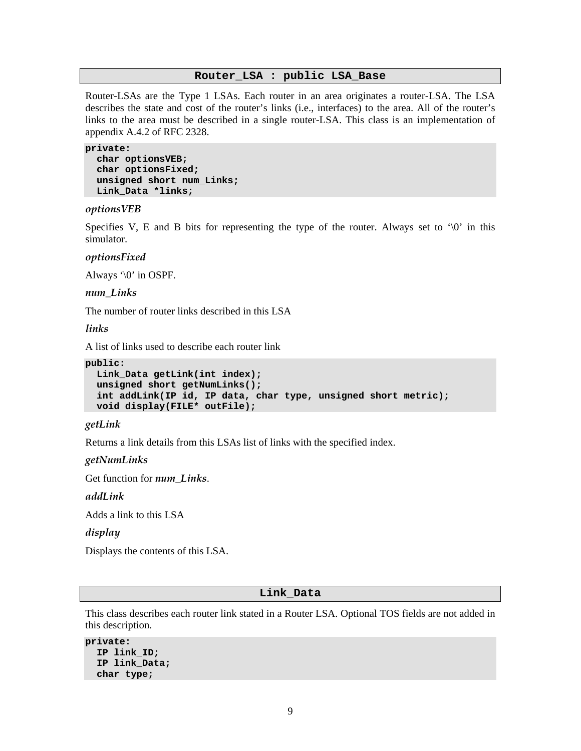#### **Router\_LSA : public LSA\_Base**

Router-LSAs are the Type 1 LSAs. Each router in an area originates a router-LSA. The LSA describes the state and cost of the router's links (i.e., interfaces) to the area. All of the router's links to the area must be described in a single router-LSA. This class is an implementation of appendix A.4.2 of RFC 2328.

#### **private:**

```
 char optionsVEB; 
 char optionsFixed; 
 unsigned short num_Links; 
 Link_Data *links;
```
#### *optionsVEB*

Specifies V, E and B bits for representing the type of the router. Always set to  $\sqrt{0}$  in this simulator.

#### *optionsFixed*

Always '\0' in OSPF.

*num\_Links* 

The number of router links described in this LSA

*links* 

A list of links used to describe each router link

```
public: 
   Link_Data getLink(int index); 
  unsigned short getNumLinks(); 
   int addLink(IP id, IP data, char type, unsigned short metric); 
  void display(FILE* outFile);
```
#### *getLink*

Returns a link details from this LSAs list of links with the specified index.

*getNumLinks* 

Get function for *num\_Links*.

*addLink* 

Adds a link to this LSA

*display* 

Displays the contents of this LSA.

#### **Link\_Data**

This class describes each router link stated in a Router LSA. Optional TOS fields are not added in this description.

```
private: 
   IP link_ID; 
   IP link_Data; 
   char type;
```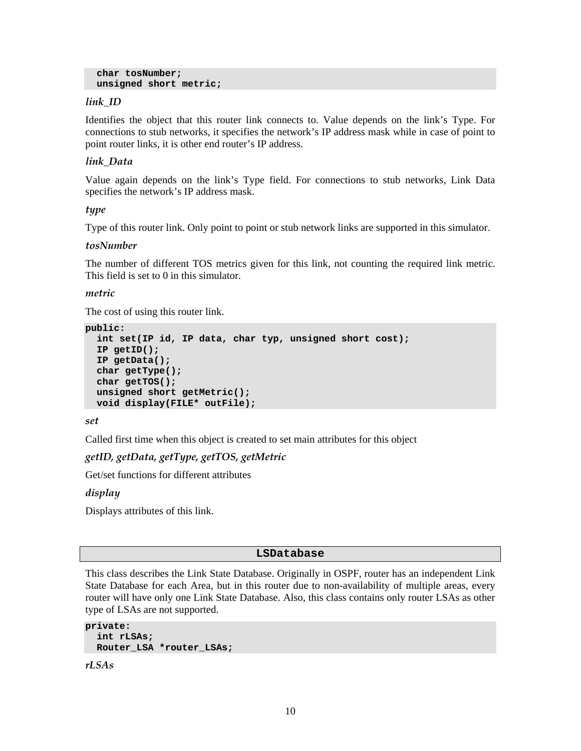```
 char tosNumber; 
 unsigned short metric;
```
# *link\_ID*

Identifies the object that this router link connects to. Value depends on the link's Type. For connections to stub networks, it specifies the network's IP address mask while in case of point to point router links, it is other end router's IP address.

# *link\_Data*

Value again depends on the link's Type field. For connections to stub networks, Link Data specifies the network's IP address mask.

### *type*

Type of this router link. Only point to point or stub network links are supported in this simulator.

### *tosNumber*

The number of different TOS metrics given for this link, not counting the required link metric. This field is set to 0 in this simulator.

### *metric*

The cost of using this router link.

```
public: 
   int set(IP id, IP data, char typ, unsigned short cost); 
   IP getID(); 
   IP getData(); 
   char getType(); 
   char getTOS(); 
   unsigned short getMetric(); 
   void display(FILE* outFile);
```
*set* 

Called first time when this object is created to set main attributes for this object

*getID, getData, getType, getTOS, getMetric* 

Get/set functions for different attributes

### *display*

Displays attributes of this link.

### **LSDatabase**

This class describes the Link State Database. Originally in OSPF, router has an independent Link State Database for each Area, but in this router due to non-availability of multiple areas, every router will have only one Link State Database. Also, this class contains only router LSAs as other type of LSAs are not supported.

```
private: 
   int rLSAs; 
   Router_LSA *router_LSAs;
```
*rLSAs*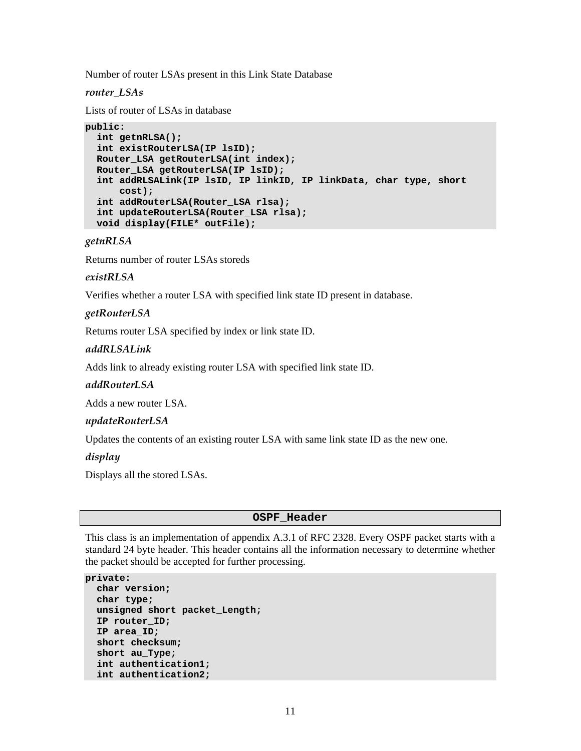Number of router LSAs present in this Link State Database

### *router\_LSAs*

Lists of router of LSAs in database

```
public:
```

```
 int getnRLSA(); 
 int existRouterLSA(IP lsID); 
 Router_LSA getRouterLSA(int index); 
 Router_LSA getRouterLSA(IP lsID); 
 int addRLSALink(IP lsID, IP linkID, IP linkData, char type, short 
    cost); 
 int addRouterLSA(Router_LSA rlsa); 
 int updateRouterLSA(Router_LSA rlsa); 
 void display(FILE* outFile);
```
*getnRLSA* 

Returns number of router LSAs storeds

### *existRLSA*

Verifies whether a router LSA with specified link state ID present in database.

### *getRouterLSA*

Returns router LSA specified by index or link state ID.

### *addRLSALink*

Adds link to already existing router LSA with specified link state ID.

### *addRouterLSA*

Adds a new router LSA.

### *updateRouterLSA*

Updates the contents of an existing router LSA with same link state ID as the new one.

*display* 

Displays all the stored LSAs.

### **OSPF\_Header**

This class is an implementation of appendix A.3.1 of RFC 2328. Every OSPF packet starts with a standard 24 byte header. This header contains all the information necessary to determine whether the packet should be accepted for further processing.

```
private: 
   char version; 
   char type; 
   unsigned short packet_Length; 
   IP router_ID; 
   IP area_ID; 
   short checksum; 
   short au_Type; 
   int authentication1; 
   int authentication2;
```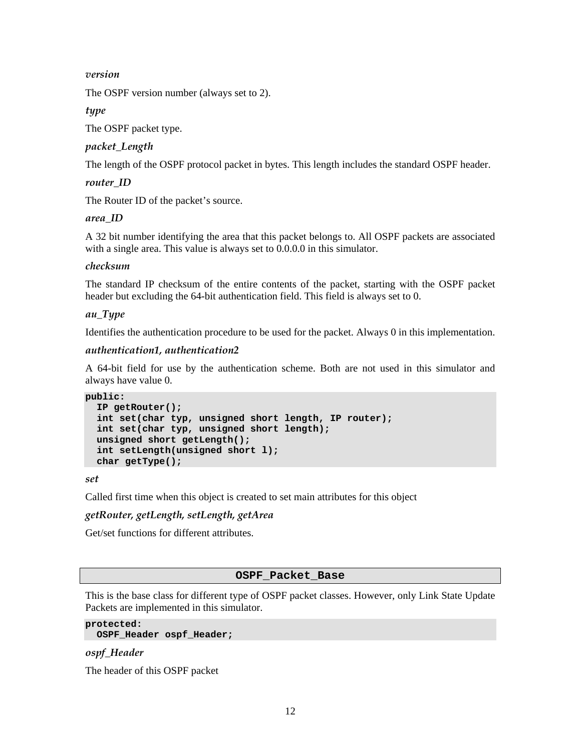### *version*

The OSPF version number (always set to 2).

*type* 

The OSPF packet type.

# *packet\_Length*

The length of the OSPF protocol packet in bytes. This length includes the standard OSPF header.

*router\_ID* 

The Router ID of the packet's source.

### *area\_ID*

A 32 bit number identifying the area that this packet belongs to. All OSPF packets are associated with a single area. This value is always set to 0.0.0.0 in this simulator.

### *checksum*

The standard IP checksum of the entire contents of the packet, starting with the OSPF packet header but excluding the 64-bit authentication field. This field is always set to 0.

### *au\_Type*

Identifies the authentication procedure to be used for the packet. Always 0 in this implementation.

### *authentication1, authentication2*

A 64-bit field for use by the authentication scheme. Both are not used in this simulator and always have value 0.

```
public:
```

```
 IP getRouter(); 
 int set(char typ, unsigned short length, IP router); 
 int set(char typ, unsigned short length); 
 unsigned short getLength(); 
 int setLength(unsigned short l); 
 char getType();
```
*set* 

Called first time when this object is created to set main attributes for this object

### *getRouter, getLength, setLength, getArea*

Get/set functions for different attributes.

### **OSPF\_Packet\_Base**

This is the base class for different type of OSPF packet classes. However, only Link State Update Packets are implemented in this simulator.

#### **protected:**

```
 OSPF_Header ospf_Header;
```
### *ospf\_Header*

The header of this OSPF packet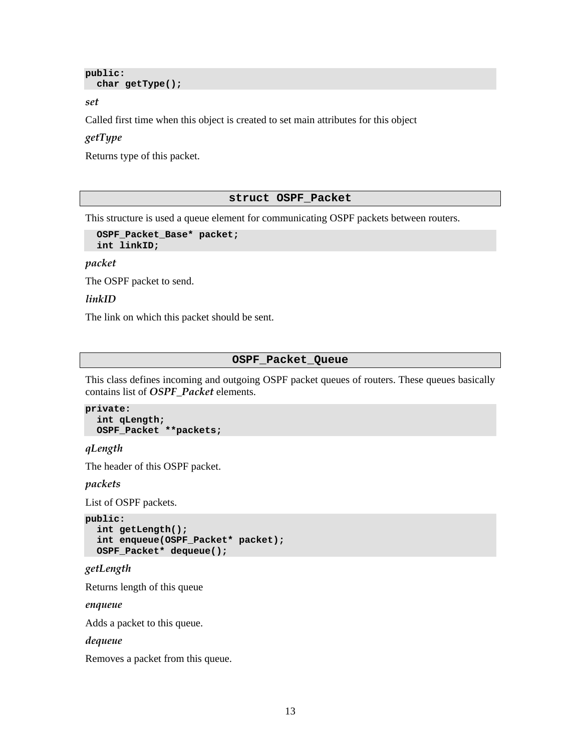```
public: 
   char getType();
```
*set* 

Called first time when this object is created to set main attributes for this object

### *getType*

Returns type of this packet.

#### **struct OSPF\_Packet**

This structure is used a queue element for communicating OSPF packets between routers.

```
 OSPF_Packet_Base* packet; 
 int linkID;
```
*packet* 

The OSPF packet to send.

### *linkID*

The link on which this packet should be sent.

#### **OSPF\_Packet\_Queue**

This class defines incoming and outgoing OSPF packet queues of routers. These queues basically contains list of *OSPF\_Packet* elements.

```
private: 
   int qLength; 
   OSPF_Packet **packets;
```
### *qLength*

The header of this OSPF packet.

*packets* 

List of OSPF packets.

```
public: 
   int getLength(); 
   int enqueue(OSPF_Packet* packet); 
   OSPF_Packet* dequeue();
```
# *getLength*

Returns length of this queue

*enqueue* 

Adds a packet to this queue.

#### *dequeue*

Removes a packet from this queue.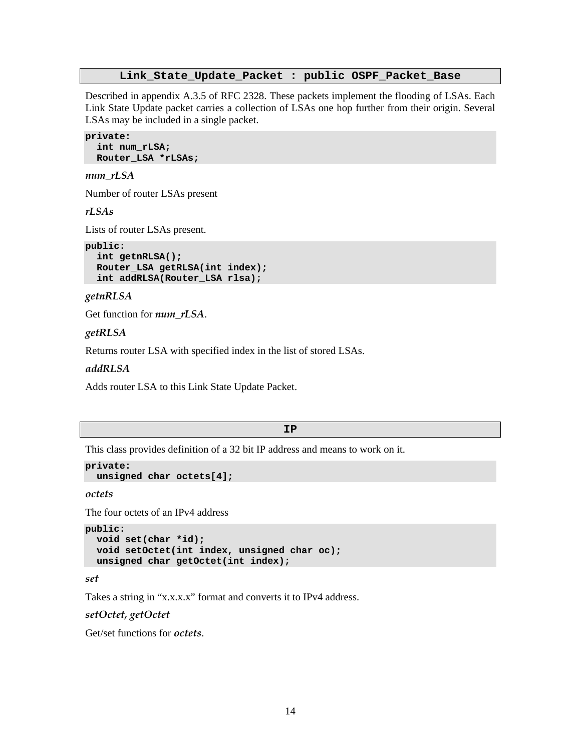#### **Link\_State\_Update\_Packet : public OSPF\_Packet\_Base**

Described in appendix A.3.5 of RFC 2328. These packets implement the flooding of LSAs. Each Link State Update packet carries a collection of LSAs one hop further from their origin. Several LSAs may be included in a single packet.

```
private: 
   int num_rLSA; 
   Router_LSA *rLSAs;
```
#### *num\_rLSA*

Number of router LSAs present

*rLSAs* 

Lists of router LSAs present.

```
public: 
   int getnRLSA(); 
   Router_LSA getRLSA(int index); 
   int addRLSA(Router_LSA rlsa);
```
*getnRLSA* 

Get function for *num\_rLSA*.

#### *getRLSA*

Returns router LSA with specified index in the list of stored LSAs.

*addRLSA* 

Adds router LSA to this Link State Update Packet.

#### **IP**

This class provides definition of a 32 bit IP address and means to work on it.

```
private: 
   unsigned char octets[4];
```
*octets* 

The four octets of an IPv4 address

```
public: 
   void set(char *id); 
   void setOctet(int index, unsigned char oc); 
  unsigned char getOctet(int index);
```
*set* 

Takes a string in "x.x.x.x" format and converts it to IPv4 address.

*setOctet, getOctet* 

Get/set functions for *octets*.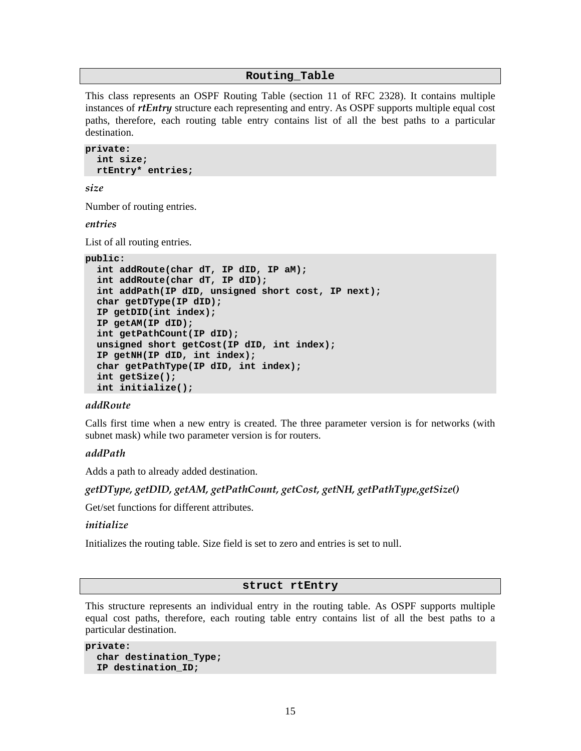#### **Routing\_Table**

This class represents an OSPF Routing Table (section 11 of RFC 2328). It contains multiple instances of *rtEntry* structure each representing and entry. As OSPF supports multiple equal cost paths, therefore, each routing table entry contains list of all the best paths to a particular destination.

```
private: 
   int size; 
   rtEntry* entries;
```
*size* 

Number of routing entries.

*entries* 

List of all routing entries.

```
public:
```

```
 int addRoute(char dT, IP dID, IP aM); 
 int addRoute(char dT, IP dID); 
 int addPath(IP dID, unsigned short cost, IP next); 
 char getDType(IP dID); 
 IP getDID(int index); 
 IP getAM(IP dID); 
 int getPathCount(IP dID); 
 unsigned short getCost(IP dID, int index); 
 IP getNH(IP dID, int index); 
 char getPathType(IP dID, int index); 
 int getSize(); 
 int initialize();
```
#### *addRoute*

Calls first time when a new entry is created. The three parameter version is for networks (with subnet mask) while two parameter version is for routers.

#### *addPath*

Adds a path to already added destination.

### *getDType, getDID, getAM, getPathCount, getCost, getNH, getPathType,getSize()*

Get/set functions for different attributes.

#### *initialize*

Initializes the routing table. Size field is set to zero and entries is set to null.

#### **struct rtEntry**

This structure represents an individual entry in the routing table. As OSPF supports multiple equal cost paths, therefore, each routing table entry contains list of all the best paths to a particular destination.

```
private: 
   char destination_Type; 
   IP destination_ID;
```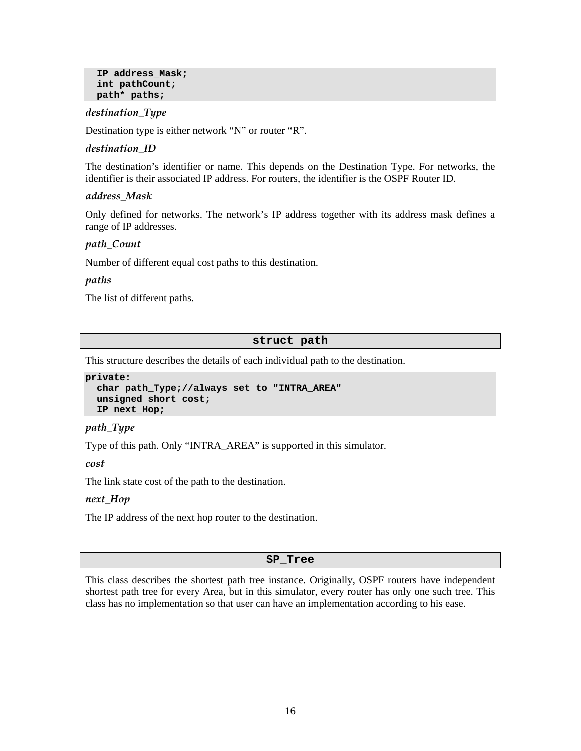```
 IP address_Mask; 
 int pathCount; 
 path* paths;
```
### *destination\_Type*

Destination type is either network "N" or router "R".

### *destination\_ID*

The destination's identifier or name. This depends on the Destination Type. For networks, the identifier is their associated IP address. For routers, the identifier is the OSPF Router ID.

### *address\_Mask*

Only defined for networks. The network's IP address together with its address mask defines a range of IP addresses.

### *path\_Count*

Number of different equal cost paths to this destination.

#### *paths*

The list of different paths.

#### **struct path**

This structure describes the details of each individual path to the destination.

```
private: 
   char path_Type;//always set to "INTRA_AREA" 
   unsigned short cost; 
   IP next_Hop;
```
### *path\_Type*

Type of this path. Only "INTRA\_AREA" is supported in this simulator.

*cost* 

The link state cost of the path to the destination.

#### *next\_Hop*

The IP address of the next hop router to the destination.

#### **SP\_Tree**

This class describes the shortest path tree instance. Originally, OSPF routers have independent shortest path tree for every Area, but in this simulator, every router has only one such tree. This class has no implementation so that user can have an implementation according to his ease.